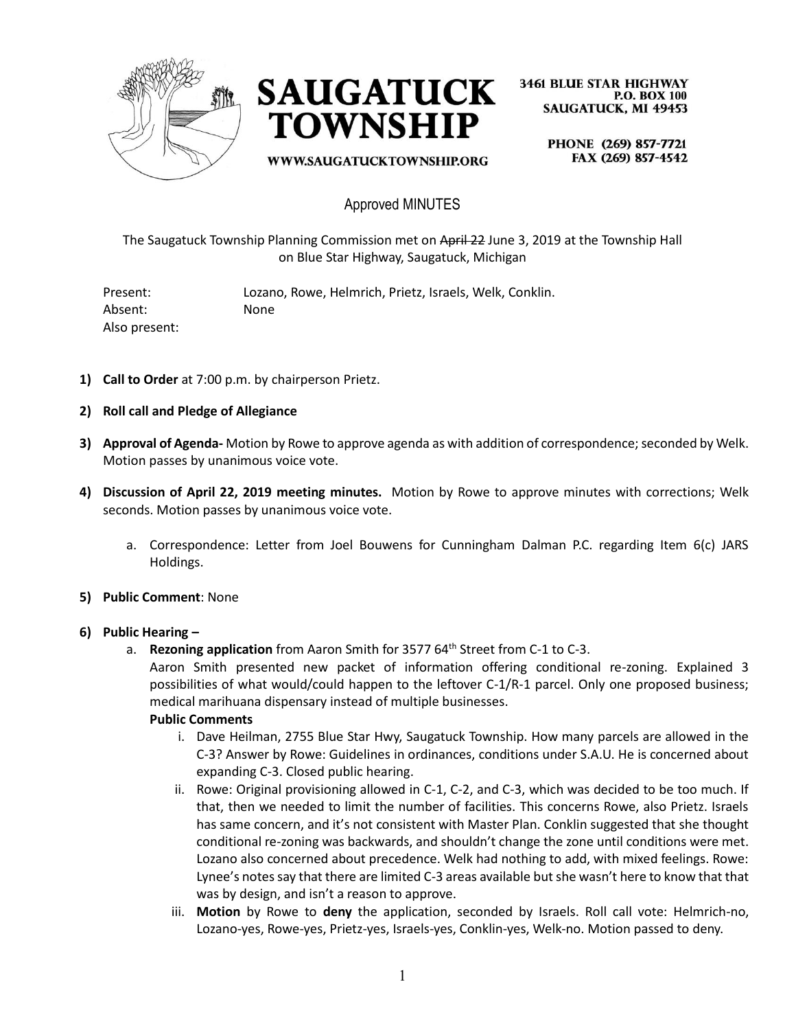



WWW.SAUGATUCKTOWNSHIP.ORG

**3461 BLUE STAR HIGHWAY P.O. BOX 100 SAUGATUCK, MI 49453** 

PHONE (269) 857-7721 FAX (269) 857-4542

### Approved MINUTES

The Saugatuck Township Planning Commission met on April 22 June 3, 2019 at the Township Hall on Blue Star Highway, Saugatuck, Michigan

Present: Lozano, Rowe, Helmrich, Prietz, Israels, Welk, Conklin. Absent: None Also present:

- **1) Call to Order** at 7:00 p.m. by chairperson Prietz.
- **2) Roll call and Pledge of Allegiance**
- **3) Approval of Agenda-** Motion by Rowe to approve agenda as with addition of correspondence; seconded by Welk. Motion passes by unanimous voice vote.
- **4) Discussion of April 22, 2019 meeting minutes.** Motion by Rowe to approve minutes with corrections; Welk seconds. Motion passes by unanimous voice vote.
	- a. Correspondence: Letter from Joel Bouwens for Cunningham Dalman P.C. regarding Item 6(c) JARS Holdings.
- **5) Public Comment**: None

#### **6) Public Hearing –**

a. **Rezoning application** from Aaron Smith for 3577 64<sup>th</sup> Street from C-1 to C-3.

Aaron Smith presented new packet of information offering conditional re-zoning. Explained 3 possibilities of what would/could happen to the leftover C-1/R-1 parcel. Only one proposed business; medical marihuana dispensary instead of multiple businesses.

#### **Public Comments**

- i. Dave Heilman, 2755 Blue Star Hwy, Saugatuck Township. How many parcels are allowed in the C-3? Answer by Rowe: Guidelines in ordinances, conditions under S.A.U. He is concerned about expanding C-3. Closed public hearing.
- ii. Rowe: Original provisioning allowed in C-1, C-2, and C-3, which was decided to be too much. If that, then we needed to limit the number of facilities. This concerns Rowe, also Prietz. Israels has same concern, and it's not consistent with Master Plan. Conklin suggested that she thought conditional re-zoning was backwards, and shouldn't change the zone until conditions were met. Lozano also concerned about precedence. Welk had nothing to add, with mixed feelings. Rowe: Lynee's notes say that there are limited C-3 areas available but she wasn't here to know that that was by design, and isn't a reason to approve.
- iii. **Motion** by Rowe to **deny** the application, seconded by Israels. Roll call vote: Helmrich-no, Lozano-yes, Rowe-yes, Prietz-yes, Israels-yes, Conklin-yes, Welk-no. Motion passed to deny.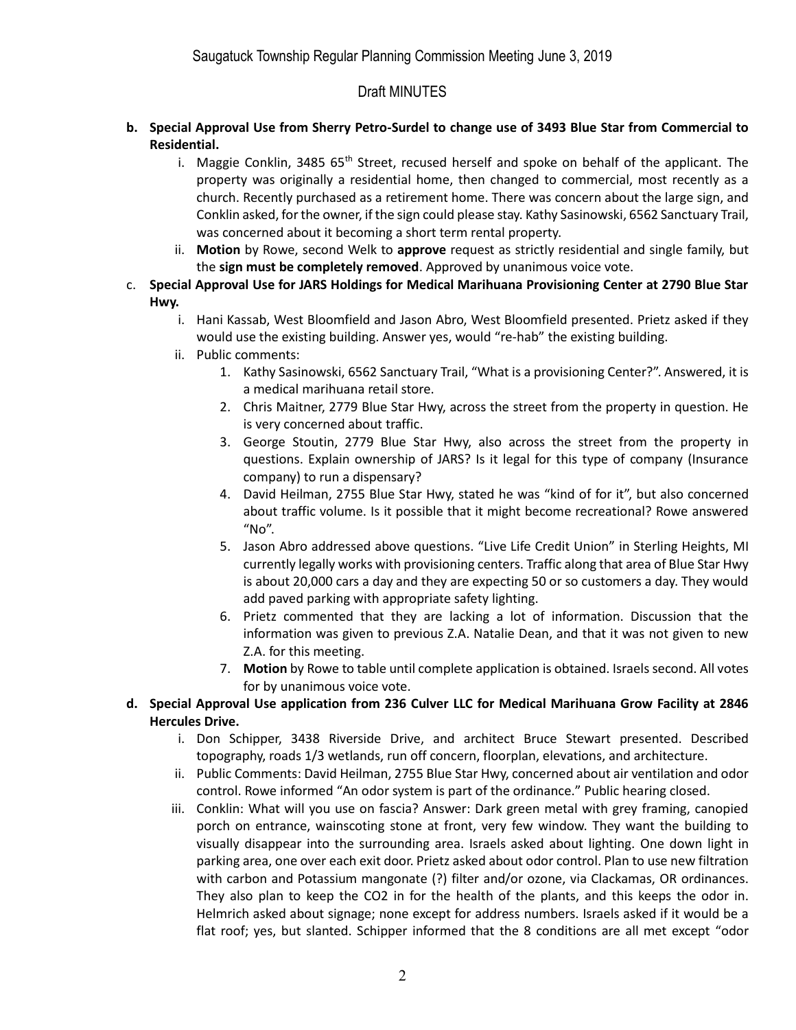# Draft MINUTES

- **b. Special Approval Use from Sherry Petro-Surdel to change use of 3493 Blue Star from Commercial to Residential.** 
	- i. Maggie Conklin, 3485  $65<sup>th</sup>$  Street, recused herself and spoke on behalf of the applicant. The property was originally a residential home, then changed to commercial, most recently as a church. Recently purchased as a retirement home. There was concern about the large sign, and Conklin asked, for the owner, if the sign could please stay. Kathy Sasinowski, 6562 Sanctuary Trail, was concerned about it becoming a short term rental property.
	- ii. **Motion** by Rowe, second Welk to **approve** request as strictly residential and single family, but the **sign must be completely removed**. Approved by unanimous voice vote.
- c. **Special Approval Use for JARS Holdings for Medical Marihuana Provisioning Center at 2790 Blue Star Hwy.** 
	- i. Hani Kassab, West Bloomfield and Jason Abro, West Bloomfield presented. Prietz asked if they would use the existing building. Answer yes, would "re-hab" the existing building.
	- ii. Public comments:
		- 1. Kathy Sasinowski, 6562 Sanctuary Trail, "What is a provisioning Center?". Answered, it is a medical marihuana retail store.
		- 2. Chris Maitner, 2779 Blue Star Hwy, across the street from the property in question. He is very concerned about traffic.
		- 3. George Stoutin, 2779 Blue Star Hwy, also across the street from the property in questions. Explain ownership of JARS? Is it legal for this type of company (Insurance company) to run a dispensary?
		- 4. David Heilman, 2755 Blue Star Hwy, stated he was "kind of for it", but also concerned about traffic volume. Is it possible that it might become recreational? Rowe answered "No".
		- 5. Jason Abro addressed above questions. "Live Life Credit Union" in Sterling Heights, MI currently legally works with provisioning centers. Traffic along that area of Blue Star Hwy is about 20,000 cars a day and they are expecting 50 or so customers a day. They would add paved parking with appropriate safety lighting.
		- 6. Prietz commented that they are lacking a lot of information. Discussion that the information was given to previous Z.A. Natalie Dean, and that it was not given to new Z.A. for this meeting.
		- 7. **Motion** by Rowe to table until complete application is obtained. Israels second. All votes for by unanimous voice vote.
- **d. Special Approval Use application from 236 Culver LLC for Medical Marihuana Grow Facility at 2846 Hercules Drive.** 
	- i. Don Schipper, 3438 Riverside Drive, and architect Bruce Stewart presented. Described topography, roads 1/3 wetlands, run off concern, floorplan, elevations, and architecture.
	- ii. Public Comments: David Heilman, 2755 Blue Star Hwy, concerned about air ventilation and odor control. Rowe informed "An odor system is part of the ordinance." Public hearing closed.
	- iii. Conklin: What will you use on fascia? Answer: Dark green metal with grey framing, canopied porch on entrance, wainscoting stone at front, very few window. They want the building to visually disappear into the surrounding area. Israels asked about lighting. One down light in parking area, one over each exit door. Prietz asked about odor control. Plan to use new filtration with carbon and Potassium mangonate (?) filter and/or ozone, via Clackamas, OR ordinances. They also plan to keep the CO2 in for the health of the plants, and this keeps the odor in. Helmrich asked about signage; none except for address numbers. Israels asked if it would be a flat roof; yes, but slanted. Schipper informed that the 8 conditions are all met except "odor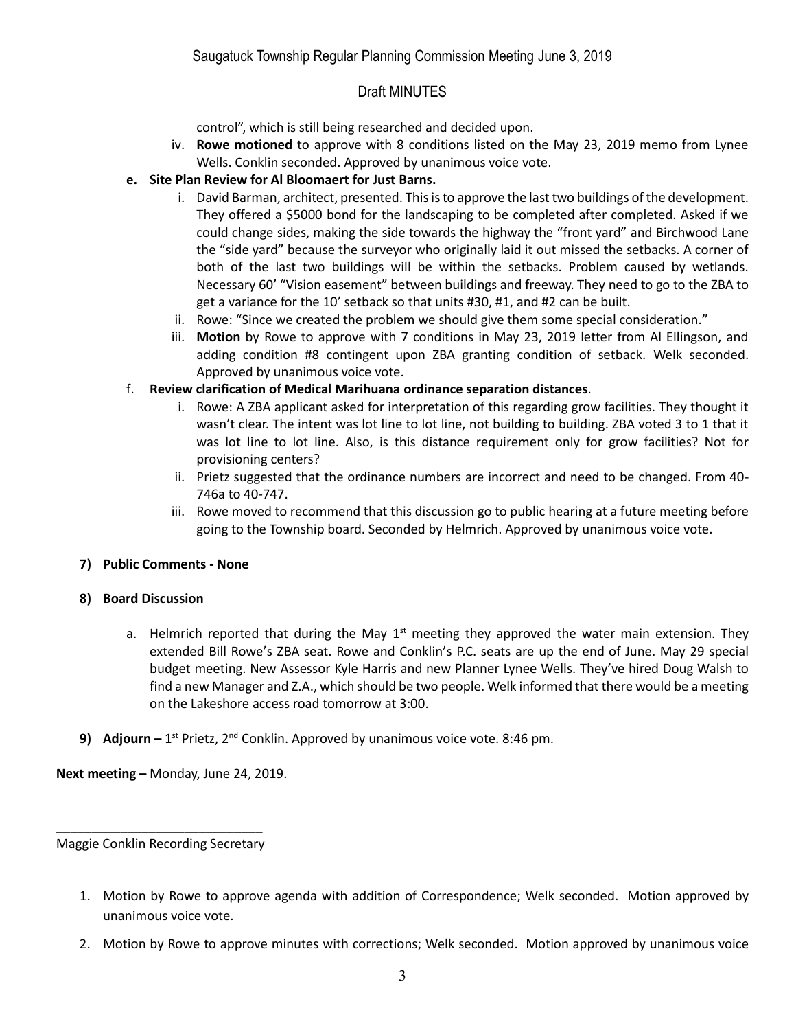# Draft MINUTES

control", which is still being researched and decided upon.

iv. **Rowe motioned** to approve with 8 conditions listed on the May 23, 2019 memo from Lynee Wells. Conklin seconded. Approved by unanimous voice vote.

### **e. Site Plan Review for Al Bloomaert for Just Barns.**

- i. David Barman, architect, presented. This is to approve the last two buildings of the development. They offered a \$5000 bond for the landscaping to be completed after completed. Asked if we could change sides, making the side towards the highway the "front yard" and Birchwood Lane the "side yard" because the surveyor who originally laid it out missed the setbacks. A corner of both of the last two buildings will be within the setbacks. Problem caused by wetlands. Necessary 60' "Vision easement" between buildings and freeway. They need to go to the ZBA to get a variance for the 10' setback so that units #30, #1, and #2 can be built.
- ii. Rowe: "Since we created the problem we should give them some special consideration."
- iii. **Motion** by Rowe to approve with 7 conditions in May 23, 2019 letter from Al Ellingson, and adding condition #8 contingent upon ZBA granting condition of setback. Welk seconded. Approved by unanimous voice vote.
- f. **Review clarification of Medical Marihuana ordinance separation distances**.
	- i. Rowe: A ZBA applicant asked for interpretation of this regarding grow facilities. They thought it wasn't clear. The intent was lot line to lot line, not building to building. ZBA voted 3 to 1 that it was lot line to lot line. Also, is this distance requirement only for grow facilities? Not for provisioning centers?
	- ii. Prietz suggested that the ordinance numbers are incorrect and need to be changed. From 40- 746a to 40-747.
	- iii. Rowe moved to recommend that this discussion go to public hearing at a future meeting before going to the Township board. Seconded by Helmrich. Approved by unanimous voice vote.

### **7) Public Comments - None**

#### **8) Board Discussion**

- a. Helmrich reported that during the May  $1<sup>st</sup>$  meeting they approved the water main extension. They extended Bill Rowe's ZBA seat. Rowe and Conklin's P.C. seats are up the end of June. May 29 special budget meeting. New Assessor Kyle Harris and new Planner Lynee Wells. They've hired Doug Walsh to find a new Manager and Z.A., which should be two people. Welk informed that there would be a meeting on the Lakeshore access road tomorrow at 3:00.
- 9) Adjourn 1<sup>st</sup> Prietz, 2<sup>nd</sup> Conklin. Approved by unanimous voice vote. 8:46 pm.

**Next meeting –** Monday, June 24, 2019.

\_\_\_\_\_\_\_\_\_\_\_\_\_\_\_\_\_\_\_\_\_\_\_\_\_\_\_\_\_ Maggie Conklin Recording Secretary

- 1. Motion by Rowe to approve agenda with addition of Correspondence; Welk seconded. Motion approved by unanimous voice vote.
- 2. Motion by Rowe to approve minutes with corrections; Welk seconded. Motion approved by unanimous voice